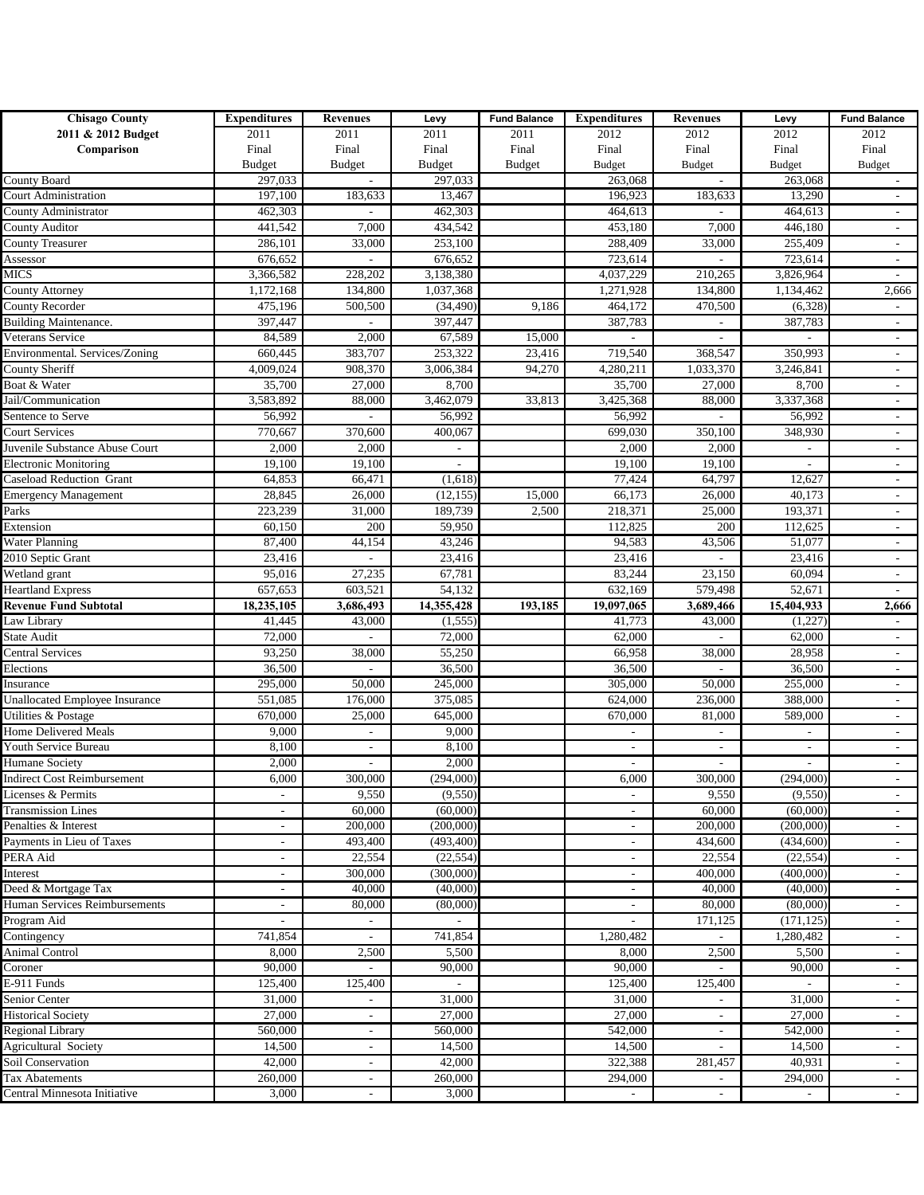| <b>Chisago County</b>                 | <b>Expenditures</b>      | <b>Revenues</b>          | Levy                     | <b>Fund Balance</b> | <b>Expenditures</b>      | <b>Revenues</b>          | Levy                     | <b>Fund Balance</b>         |
|---------------------------------------|--------------------------|--------------------------|--------------------------|---------------------|--------------------------|--------------------------|--------------------------|-----------------------------|
| 2011 & 2012 Budget                    | 2011                     | 2011                     | 2011                     | 2011                | 2012                     | 2012                     | 2012                     | 2012                        |
| Comparison                            | Final                    | Final                    | Final                    | Final               | Final                    | Final                    | Final                    | Final                       |
|                                       | <b>Budget</b>            | <b>Budget</b>            | <b>Budget</b>            | <b>Budget</b>       | Budget                   | <b>Budget</b>            | <b>Budget</b>            | <b>Budget</b>               |
| County Board                          | 297,033                  |                          | 297,033                  |                     | 263,068                  |                          | 263,068                  |                             |
| <b>Court Administration</b>           | 197,100                  | 183,633                  | 13,467                   |                     | 196.923                  | 183,633                  | 13,290                   | $\overline{\phantom{a}}$    |
| County Administrator                  | 462,303                  |                          | 462,303                  |                     | 464,613                  |                          | 464,613                  | $\overline{\phantom{a}}$    |
| County Auditor                        | 441,542                  | 7,000                    | 434,542                  |                     | 453,180                  | 7,000                    | 446,180                  | $\overline{\phantom{a}}$    |
| <b>County Treasurer</b>               | 286,101                  | 33,000                   | 253,100                  |                     | 288,409                  | 33,000                   | 255,409                  | $\overline{\phantom{a}}$    |
| Assessor                              | 676,652                  |                          | 676,652                  |                     | 723,614                  |                          | 723,614                  | $\sim$                      |
| <b>MICS</b>                           | 3,366,582                | 228,202                  | 3,138,380                |                     | 4,037,229                | 210,265                  | 3,826,964                | $\overline{\phantom{a}}$    |
| <b>County Attorney</b>                | 1,172,168                | 134,800                  | 1,037,368                |                     | 1,271,928                | 134,800                  | 1,134,462                | 2,666                       |
| County Recorder                       | 475,196                  | 500,500                  | (34, 490)                | 9,186               | 464,172                  | 470,500                  | (6,328)                  | $\mathcal{L}_{\mathcal{A}}$ |
| Building Maintenance.                 | 397,447                  |                          | 397,447                  |                     | 387,783                  | $\overline{\phantom{a}}$ | 387,783                  | $\sim$                      |
| Veterans Service                      | 84,589                   | 2,000                    | 67,589                   | 15,000              |                          |                          |                          | $\overline{\phantom{a}}$    |
| Environmental. Services/Zoning        | 660,445                  | 383,707                  | 253,322                  | 23,416              | 719,540                  | 368,547                  | 350,993                  | $\sim$                      |
| <b>County Sheriff</b>                 | 4,009,024                | 908,370                  | 3,006,384                | 94,270              | 4,280,211                | 1,033,370                | 3,246,841                | $\overline{\phantom{a}}$    |
| Boat & Water                          | 35,700                   | 27,000                   | 8,700                    |                     | 35,700                   | 27,000                   | 8,700                    | $\overline{\phantom{a}}$    |
| Jail/Communication                    | 3,583,892                | 88,000                   | 3,462,079                | 33,813              | 3,425,368                | 88,000                   | 3,337,368                | $\overline{\phantom{a}}$    |
| Sentence to Serve                     | 56,992                   |                          | 56,992                   |                     | 56,992                   |                          | 56,992                   | $\overline{\phantom{a}}$    |
| <b>Court Services</b>                 | 770,667                  | 370,600                  | 400,067                  |                     | 699,030                  | 350,100                  | 348,930                  | $\overline{\phantom{a}}$    |
| Juvenile Substance Abuse Court        | 2,000                    | 2,000                    | $\overline{\phantom{a}}$ |                     | 2,000                    | 2,000                    |                          | $\overline{\phantom{a}}$    |
| <b>Electronic Monitoring</b>          | 19,100                   | 19,100                   |                          |                     | 19,100                   | 19,100                   |                          | $\overline{\phantom{a}}$    |
| Caseload Reduction Grant              | 64,853                   | 66,471                   | (1,618)                  |                     | 77,424                   | 64,797                   | 12,627                   | $\overline{\phantom{a}}$    |
| <b>Emergency Management</b>           | 28,845                   | 26,000                   | (12, 155)                | 15,000              | 66,173                   | 26,000                   | 40,173                   | $\overline{\phantom{a}}$    |
| Parks                                 | 223,239                  | 31,000                   | 189,739                  | 2,500               | 218,371                  | 25,000                   | 193,371                  | $\overline{\phantom{a}}$    |
| Extension                             | 60,150                   | 200                      | 59,950                   |                     | 112,825                  | 200                      | 112,625                  |                             |
| <b>Water Planning</b>                 | 87,400                   | 44,154                   | 43,246                   |                     | 94,583                   | 43,506                   | 51,077                   |                             |
| 2010 Septic Grant                     | 23,416                   |                          | 23,416                   |                     | 23,416                   |                          | 23,416                   | $\overline{\phantom{a}}$    |
| Wetland grant                         | 95,016                   | 27,235                   | 67,781                   |                     | 83,244                   | 23,150                   | 60,094                   | $\blacksquare$              |
| <b>Heartland Express</b>              | 657,653                  | 603,521                  | 54,132                   |                     | 632,169                  | 579,498                  | 52,671                   | $\sim$                      |
| <b>Revenue Fund Subtotal</b>          | 18,235,105               | 3,686,493                | 14,355,428               | 193,185             | 19,097,065               | 3,689,466                | 15,404,933               | 2,666                       |
| Law Library                           | 41,445                   | 43,000                   | (1, 555)                 |                     | 41,773                   | 43,000                   | (1,227)                  | $\overline{\phantom{a}}$    |
| State Audit                           | 72,000                   |                          | 72,000                   |                     | 62,000                   |                          | 62,000                   | $\overline{\phantom{a}}$    |
| <b>Central Services</b>               | 93,250                   | 38,000                   | 55,250                   |                     | 66,958                   | 38,000                   | 28,958                   | $\sim$                      |
| Elections                             | 36,500                   |                          | 36,500                   |                     | 36,500                   |                          | 36,500                   | $\overline{\phantom{a}}$    |
| Insurance                             | 295,000                  | 50,000                   | 245,000                  |                     | 305,000                  | 50,000                   | 255,000                  | $\sim$                      |
| <b>Unallocated Employee Insurance</b> | 551,085                  | 176,000                  | 375,085                  |                     | 624,000                  | 236,000                  | 388,000                  | $\overline{\phantom{a}}$    |
| Utilities & Postage                   | 670,000                  | 25,000                   | 645,000                  |                     | 670,000                  | 81,000                   | 589,000                  | $\sim$                      |
| <b>Home Delivered Meals</b>           | 9,000                    |                          | 9,000                    |                     |                          |                          |                          | $\overline{\phantom{a}}$    |
| Youth Service Bureau                  | 8,100                    | $\overline{\phantom{a}}$ | 8,100                    |                     | $\overline{\phantom{a}}$ | $\overline{\phantom{a}}$ | $\overline{\phantom{0}}$ | $\sim$                      |
| <b>Humane Society</b>                 | 2,000                    |                          | 2,000                    |                     |                          |                          |                          | $\overline{\phantom{a}}$    |
| <b>Indirect Cost Reimbursement</b>    | 6,000                    | 300,000                  | (294,000)                |                     | 6,000                    | 300,000                  | (294,000)                |                             |
| Licenses & Permits                    |                          | 9,550                    | (9, 550)                 |                     |                          | 9,550                    | (9,550)                  | $\overline{\phantom{a}}$    |
| <b>Transmission Lines</b>             | $\overline{\phantom{a}}$ | 60,000                   | (60,000)                 |                     | $\overline{\phantom{a}}$ | 60,000                   | (60,000)                 | $\sim$                      |
| Penalties & Interest                  |                          | 200,000                  | (200,000)                |                     |                          | 200,000                  | (200,000)                | $\overline{\phantom{a}}$    |
| Payments in Lieu of Taxes             |                          | 493,400                  | (493, 400)               |                     |                          | 434,600                  | (434, 600)               | $\overline{\phantom{a}}$    |
| PERA Aid                              |                          | 22,554                   | (22, 554)                |                     |                          | 22,554                   | (22, 554)                | $\overline{\phantom{a}}$    |
| Interest                              | $\overline{\phantom{a}}$ | 300,000                  | (300,000)                |                     | $\overline{\phantom{a}}$ | 400,000                  | (400,000)                | $\overline{\phantom{a}}$    |
| Deed & Mortgage Tax                   |                          | 40,000                   | (40,000)                 |                     |                          | 40,000                   | (40,000)                 | $\overline{\phantom{a}}$    |
| Human Services Reimbursements         |                          | 80,000                   | (80,000)                 |                     |                          | 80,000                   | (80,000)                 |                             |
|                                       |                          |                          |                          |                     |                          |                          |                          | $\overline{\phantom{a}}$    |
| Program Aid                           | 741.854                  | $\overline{\phantom{a}}$ | 741,854                  |                     | 1,280,482                | 171,125                  | (171, 125)               | $\overline{\phantom{a}}$    |
| Contingency                           |                          |                          |                          |                     |                          |                          | 1,280,482                | $\overline{\phantom{a}}$    |
| <b>Animal Control</b>                 | 8,000                    | 2,500                    | 5,500<br>90,000          |                     | 8,000<br>90,000          | 2,500                    | 5,500                    | $\overline{\phantom{a}}$    |
| Coroner                               | 90,000                   |                          |                          |                     |                          |                          | 90,000                   | $\overline{\phantom{a}}$    |
| E-911 Funds                           | 125,400                  | 125,400                  |                          |                     | 125,400                  | 125,400                  |                          | $\sim$                      |
| Senior Center                         | 31,000                   | $\overline{\phantom{a}}$ | 31,000                   |                     | 31,000                   | $\overline{\phantom{a}}$ | 31,000                   | $\blacksquare$              |
| <b>Historical Society</b>             | 27,000                   | $\sim$                   | 27,000                   |                     | 27,000                   | $\overline{\phantom{a}}$ | 27,000                   | $\overline{\phantom{a}}$    |
| <b>Regional Library</b>               | 560,000                  | $\overline{\phantom{a}}$ | 560,000                  |                     | 542,000                  | $\overline{\phantom{a}}$ | 542,000                  | $\blacksquare$              |
| <b>Agricultural Society</b>           | 14,500                   | $\sim$                   | 14,500                   |                     | 14,500                   | $\overline{\phantom{a}}$ | 14,500                   | $\sim$                      |
| Soil Conservation                     | 42,000                   | $\sim$                   | 42,000                   |                     | 322,388                  | 281,457                  | 40,931                   | $\sim$                      |
| Tax Abatements                        | 260,000                  | $\sim$                   | 260,000                  |                     | 294,000                  |                          | 294,000                  | $\sim$                      |
| Central Minnesota Initiative          | 3,000                    | $\overline{\phantom{a}}$ | 3,000                    |                     |                          |                          |                          | $\sim$                      |